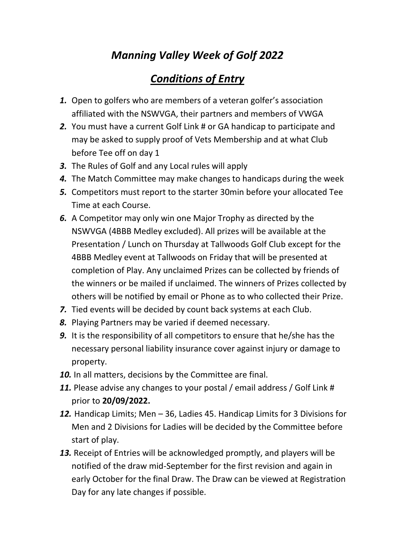# *Manning Valley Week of Golf 2022*

# *Conditions of Entry*

- *1.* Open to golfers who are members of a veteran golfer's association affiliated with the NSWVGA, their partners and members of VWGA
- *2.* You must have a current Golf Link # or GA handicap to participate and may be asked to supply proof of Vets Membership and at what Club before Tee off on day 1
- *3.* The Rules of Golf and any Local rules will apply
- *4.* The Match Committee may make changes to handicaps during the week
- *5.* Competitors must report to the starter 30min before your allocated Tee Time at each Course.
- *6.* A Competitor may only win one Major Trophy as directed by the NSWVGA (4BBB Medley excluded). All prizes will be available at the Presentation / Lunch on Thursday at Tallwoods Golf Club except for the 4BBB Medley event at Tallwoods on Friday that will be presented at completion of Play. Any unclaimed Prizes can be collected by friends of the winners or be mailed if unclaimed. The winners of Prizes collected by others will be notified by email or Phone as to who collected their Prize.
- *7.* Tied events will be decided by count back systems at each Club.
- *8.* Playing Partners may be varied if deemed necessary.
- *9.* It is the responsibility of all competitors to ensure that he/she has the necessary personal liability insurance cover against injury or damage to property.
- *10.* In all matters, decisions by the Committee are final.
- 11. Please advise any changes to your postal / email address / Golf Link # prior to **20/09/2022.**
- *12.* Handicap Limits; Men 36, Ladies 45. Handicap Limits for 3 Divisions for Men and 2 Divisions for Ladies will be decided by the Committee before start of play.
- *13.* Receipt of Entries will be acknowledged promptly, and players will be notified of the draw mid-September for the first revision and again in early October for the final Draw. The Draw can be viewed at Registration Day for any late changes if possible.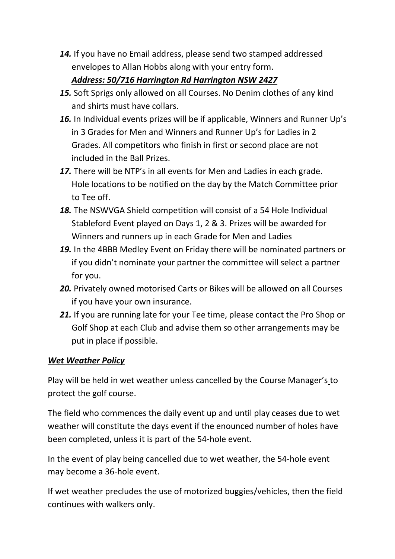- *14.* If you have no Email address, please send two stamped addressed envelopes to Allan Hobbs along with your entry form. *Address: 50/716 Harrington Rd Harrington NSW 2427*
- *15.* Soft Sprigs only allowed on all Courses. No Denim clothes of any kind and shirts must have collars.
- *16.* In Individual events prizes will be if applicable, Winners and Runner Up's in 3 Grades for Men and Winners and Runner Up's for Ladies in 2 Grades. All competitors who finish in first or second place are not included in the Ball Prizes.
- *17.* There will be NTP's in all events for Men and Ladies in each grade. Hole locations to be notified on the day by the Match Committee prior to Tee off.
- *18.* The NSWVGA Shield competition will consist of a 54 Hole Individual Stableford Event played on Days 1, 2 & 3. Prizes will be awarded for Winners and runners up in each Grade for Men and Ladies
- *19.* In the 4BBB Medley Event on Friday there will be nominated partners or if you didn't nominate your partner the committee will select a partner for you.
- *20.* Privately owned motorised Carts or Bikes will be allowed on all Courses if you have your own insurance.
- *21.* If you are running late for your Tee time, please contact the Pro Shop or Golf Shop at each Club and advise them so other arrangements may be put in place if possible.

#### *Wet Weather Policy*

Play will be held in wet weather unless cancelled by the Course Manager's to protect the golf course.

The field who commences the daily event up and until play ceases due to wet weather will constitute the days event if the enounced number of holes have been completed, unless it is part of the 54-hole event.

In the event of play being cancelled due to wet weather, the 54-hole event may become a 36-hole event.

If wet weather precludes the use of motorized buggies/vehicles, then the field continues with walkers only.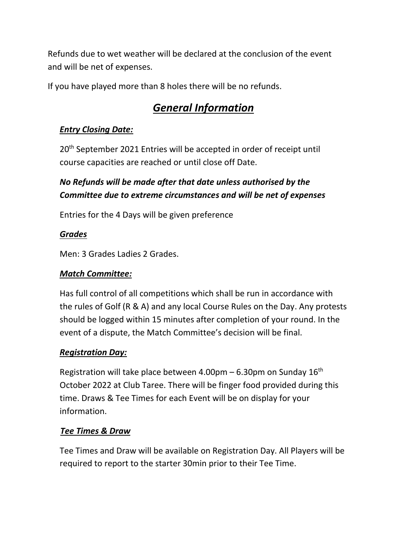Refunds due to wet weather will be declared at the conclusion of the event and will be net of expenses.

If you have played more than 8 holes there will be no refunds.

# *General Information*

#### *Entry Closing Date:*

20<sup>th</sup> September 2021 Entries will be accepted in order of receipt until course capacities are reached or until close off Date.

## *No Refunds will be made after that date unless authorised by the Committee due to extreme circumstances and will be net of expenses*

Entries for the 4 Days will be given preference

#### *Grades*

Men: 3 Grades Ladies 2 Grades.

#### *Match Committee:*

Has full control of all competitions which shall be run in accordance with the rules of Golf (R & A) and any local Course Rules on the Day. Any protests should be logged within 15 minutes after completion of your round. In the event of a dispute, the Match Committee's decision will be final.

## *Registration Day:*

Registration will take place between  $4.00$ pm  $-6.30$ pm on Sunday  $16<sup>th</sup>$ October 2022 at Club Taree. There will be finger food provided during this time. Draws & Tee Times for each Event will be on display for your information.

#### *Tee Times & Draw*

Tee Times and Draw will be available on Registration Day. All Players will be required to report to the starter 30min prior to their Tee Time.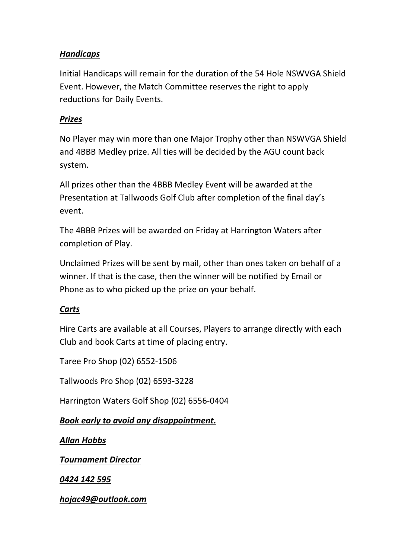#### *Handicaps*

Initial Handicaps will remain for the duration of the 54 Hole NSWVGA Shield Event. However, the Match Committee reserves the right to apply reductions for Daily Events.

#### *Prizes*

No Player may win more than one Major Trophy other than NSWVGA Shield and 4BBB Medley prize. All ties will be decided by the AGU count back system.

All prizes other than the 4BBB Medley Event will be awarded at the Presentation at Tallwoods Golf Club after completion of the final day's event.

The 4BBB Prizes will be awarded on Friday at Harrington Waters after completion of Play.

Unclaimed Prizes will be sent by mail, other than ones taken on behalf of a winner. If that is the case, then the winner will be notified by Email or Phone as to who picked up the prize on your behalf.

#### *Carts*

Hire Carts are available at all Courses, Players to arrange directly with each Club and book Carts at time of placing entry.

Taree Pro Shop (02) 6552-1506

Tallwoods Pro Shop (02) 6593-3228

Harrington Waters Golf Shop (02) 6556-0404

*Book early to avoid any disappointment.*

*Allan Hobbs*

*Tournament Director*

*0424 142 595* 

*hojac49@outlook.com*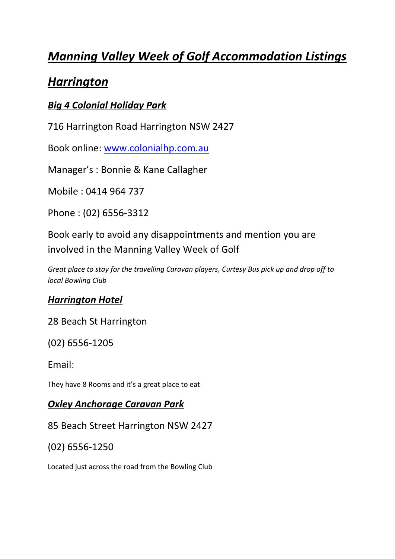# *Manning Valley Week of Golf Accommodation Listings*

# *Harrington*

## *Big 4 Colonial Holiday Park*

716 Harrington Road Harrington NSW 2427

Book online: [www.colonialhp.com.au](http://www.colonialhp.com.au/)

Manager's : Bonnie & Kane Callagher

Mobile : 0414 964 737

Phone : (02) 6556-3312

Book early to avoid any disappointments and mention you are involved in the Manning Valley Week of Golf

*Great place to stay for the travelling Caravan players, Curtesy Bus pick up and drop off to local Bowling Club* 

## *Harrington Hotel*

28 Beach St Harrington

(02) 6556-1205

Email:

They have 8 Rooms and it's a great place to eat

## *Oxley Anchorage Caravan Park*

#### 85 Beach Street Harrington NSW 2427

(02) 6556-1250

Located just across the road from the Bowling Club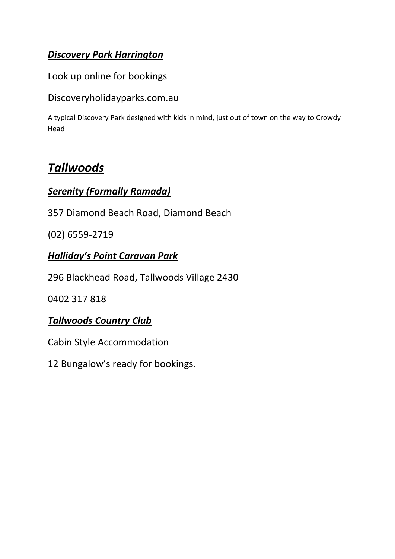## *Discovery Park Harrington*

Look up online for bookings

Discoveryholidayparks.com.au

A typical Discovery Park designed with kids in mind, just out of town on the way to Crowdy Head

# *Tallwoods*

#### *Serenity (Formally Ramada)*

357 Diamond Beach Road, Diamond Beach

(02) 6559-2719

#### *Halliday's Point Caravan Park*

296 Blackhead Road, Tallwoods Village 2430

0402 317 818

## *Tallwoods Country Club*

Cabin Style Accommodation

12 Bungalow's ready for bookings.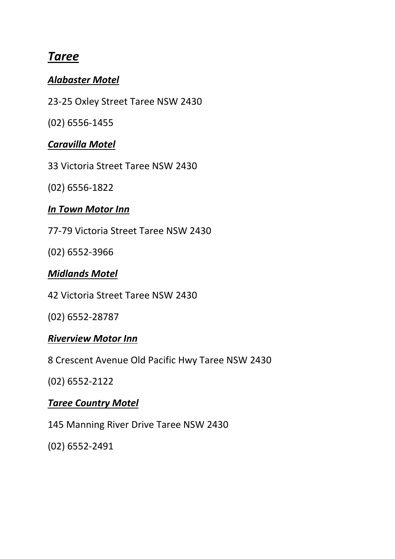# *Taree*

## *Alabaster Motel*

23-25 Oxley Street Taree NSW 2430

(02) 6556-1455

## *Caravilla Motel*

33 Victoria Street Taree NSW 2430

(02) 6556-1822

#### *In Town Motor Inn*

77-79 Victoria Street Taree NSW 2430

(02) 6552-3966

## *Midlands Motel*

42 Victoria Street Taree NSW 2430

(02) 6552-28787

## *Riverview Motor Inn*

8 Crescent Avenue Old Pacific Hwy Taree NSW 2430

(02) 6552-2122

## *Taree Country Motel*

145 Manning River Drive Taree NSW 2430

(02) 6552-2491